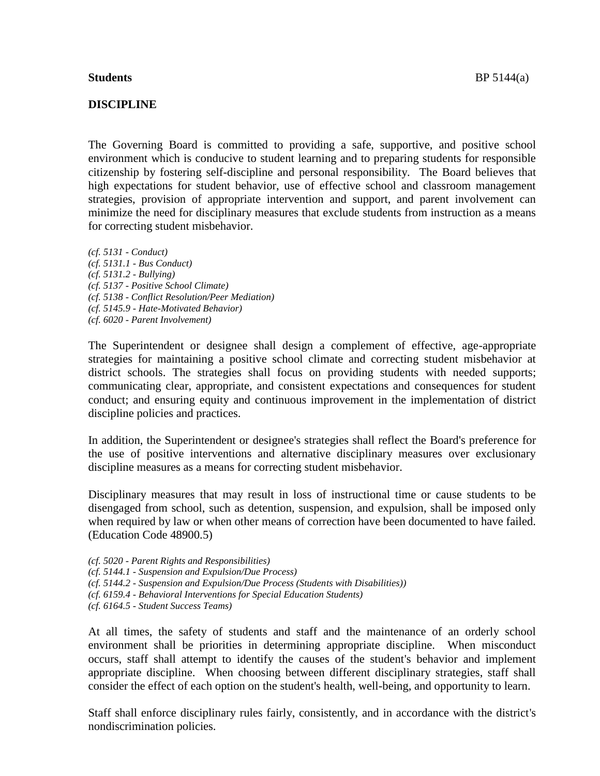#### **DISCIPLINE**

The Governing Board is committed to providing a safe, supportive, and positive school environment which is conducive to student learning and to preparing students for responsible citizenship by fostering self-discipline and personal responsibility. The Board believes that high expectations for student behavior, use of effective school and classroom management strategies, provision of appropriate intervention and support, and parent involvement can minimize the need for disciplinary measures that exclude students from instruction as a means for correcting student misbehavior.

*(cf. 5131 - Conduct) (cf. 5131.1 - Bus Conduct) (cf. 5131.2 - Bullying) (cf. 5137 - Positive School Climate) (cf. 5138 - Conflict Resolution/Peer Mediation) (cf. 5145.9 - Hate-Motivated Behavior) (cf. 6020 - Parent Involvement)*

The Superintendent or designee shall design a complement of effective, age-appropriate strategies for maintaining a positive school climate and correcting student misbehavior at district schools. The strategies shall focus on providing students with needed supports; communicating clear, appropriate, and consistent expectations and consequences for student conduct; and ensuring equity and continuous improvement in the implementation of district discipline policies and practices.

In addition, the Superintendent or designee's strategies shall reflect the Board's preference for the use of positive interventions and alternative disciplinary measures over exclusionary discipline measures as a means for correcting student misbehavior.

Disciplinary measures that may result in loss of instructional time or cause students to be disengaged from school, such as detention, suspension, and expulsion, shall be imposed only when required by law or when other means of correction have been documented to have failed. (Education Code 48900.5)

*(cf. 5020 - Parent Rights and Responsibilities)*

- *(cf. 5144.1 - Suspension and Expulsion/Due Process)*
- *(cf. 5144.2 - Suspension and Expulsion/Due Process (Students with Disabilities))*
- *(cf. 6159.4 - Behavioral Interventions for Special Education Students)*
- *(cf. 6164.5 - Student Success Teams)*

At all times, the safety of students and staff and the maintenance of an orderly school environment shall be priorities in determining appropriate discipline. When misconduct occurs, staff shall attempt to identify the causes of the student's behavior and implement appropriate discipline. When choosing between different disciplinary strategies, staff shall consider the effect of each option on the student's health, well-being, and opportunity to learn.

Staff shall enforce disciplinary rules fairly, consistently, and in accordance with the district's nondiscrimination policies.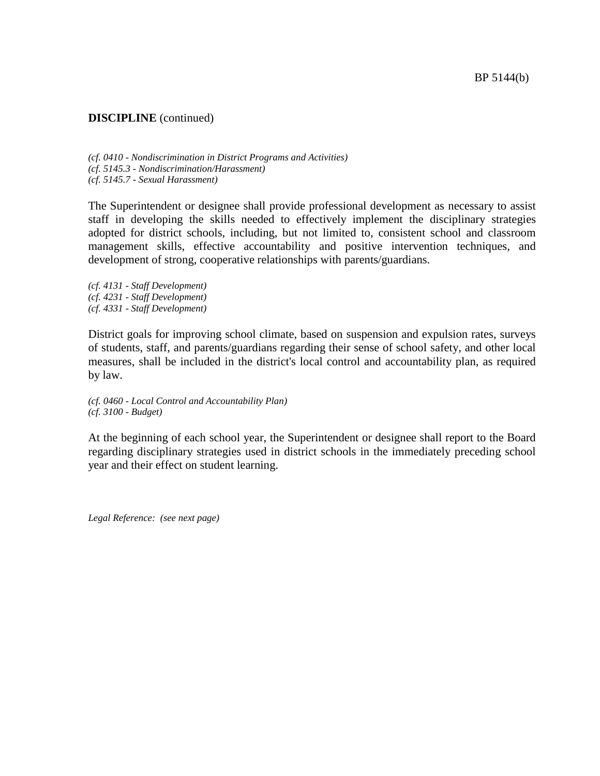*(cf. 0410 - Nondiscrimination in District Programs and Activities) (cf. 5145.3 - Nondiscrimination/Harassment) (cf. 5145.7 - Sexual Harassment)*

The Superintendent or designee shall provide professional development as necessary to assist staff in developing the skills needed to effectively implement the disciplinary strategies adopted for district schools, including, but not limited to, consistent school and classroom management skills, effective accountability and positive intervention techniques, and development of strong, cooperative relationships with parents/guardians.

*(cf. 4131 - Staff Development) (cf. 4231 - Staff Development) (cf. 4331 - Staff Development)*

District goals for improving school climate, based on suspension and expulsion rates, surveys of students, staff, and parents/guardians regarding their sense of school safety, and other local measures, shall be included in the district's local control and accountability plan, as required by law.

*(cf. 0460 - Local Control and Accountability Plan) (cf. 3100 - Budget)*

At the beginning of each school year, the Superintendent or designee shall report to the Board regarding disciplinary strategies used in district schools in the immediately preceding school year and their effect on student learning.

*Legal Reference: (see next page)*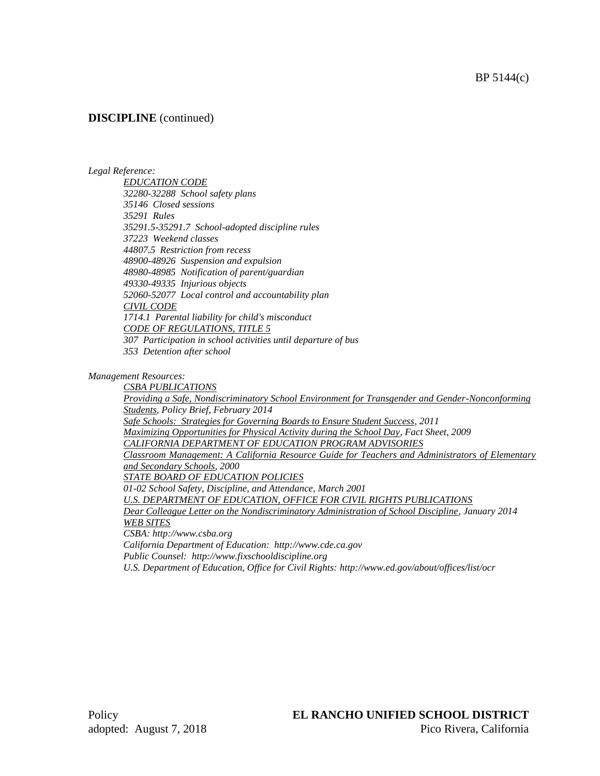#### *Legal Reference:*

*EDUCATION CODE 32280-32288 School safety plans 35146 Closed sessions 35291 Rules 35291.5-35291.7 School-adopted discipline rules 37223 Weekend classes 44807.5 Restriction from recess 48900-48926 Suspension and expulsion 48980-48985 Notification of parent/guardian 49330-49335 Injurious objects 52060-52077 Local control and accountability plan CIVIL CODE 1714.1 Parental liability for child's misconduct CODE OF REGULATIONS, TITLE 5 307 Participation in school activities until departure of bus*

*353 Detention after school*

*Management Resources:*

*CSBA PUBLICATIONS Providing a Safe, Nondiscriminatory School Environment for Transgender and Gender-Nonconforming Students, Policy Brief, February 2014 Safe Schools: Strategies for Governing Boards to Ensure Student Success, 2011 Maximizing Opportunities for Physical Activity during the School Day, Fact Sheet, 2009 CALIFORNIA DEPARTMENT OF EDUCATION PROGRAM ADVISORIES Classroom Management: A California Resource Guide for Teachers and Administrators of Elementary and Secondary Schools, 2000 STATE BOARD OF EDUCATION POLICIES 01-02 School Safety, Discipline, and Attendance, March 2001 U.S. DEPARTMENT OF EDUCATION, OFFICE FOR CIVIL RIGHTS PUBLICATIONS Dear Colleague Letter on the Nondiscriminatory Administration of School Discipline, January 2014 WEB SITES CSBA: http://www.csba.org California Department of Education: http://www.cde.ca.gov Public Counsel: http://www.fixschooldiscipline.org*

*U.S. Department of Education, Office for Civil Rights: http://www.ed.gov/about/offices/list/ocr*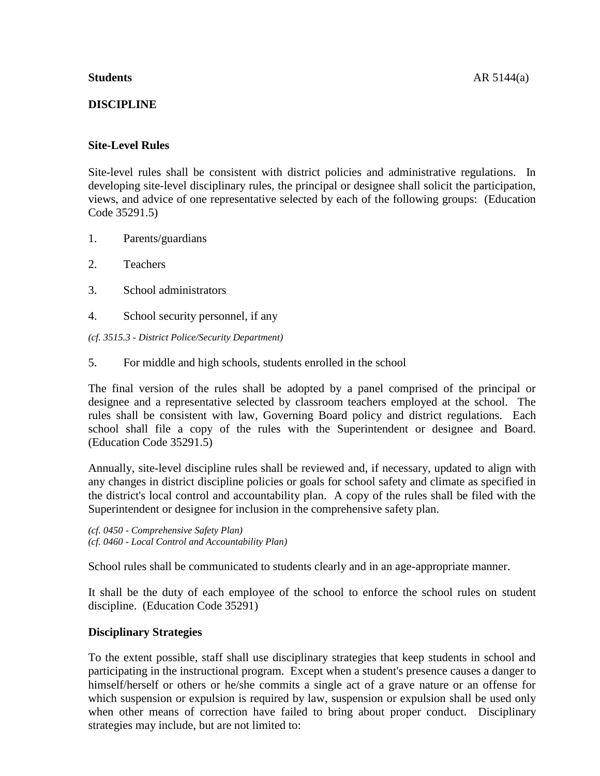# **DISCIPLINE**

# **Site-Level Rules**

Site-level rules shall be consistent with district policies and administrative regulations. In developing site-level disciplinary rules, the principal or designee shall solicit the participation, views, and advice of one representative selected by each of the following groups: (Education Code 35291.5)

- 1. Parents/guardians
- 2. Teachers
- 3. School administrators
- 4. School security personnel, if any
- *(cf. 3515.3 - District Police/Security Department)*
- 5. For middle and high schools, students enrolled in the school

The final version of the rules shall be adopted by a panel comprised of the principal or designee and a representative selected by classroom teachers employed at the school. The rules shall be consistent with law, Governing Board policy and district regulations. Each school shall file a copy of the rules with the Superintendent or designee and Board. (Education Code 35291.5)

Annually, site-level discipline rules shall be reviewed and, if necessary, updated to align with any changes in district discipline policies or goals for school safety and climate as specified in the district's local control and accountability plan. A copy of the rules shall be filed with the Superintendent or designee for inclusion in the comprehensive safety plan.

*(cf. 0450 - Comprehensive Safety Plan) (cf. 0460 - Local Control and Accountability Plan)*

School rules shall be communicated to students clearly and in an age-appropriate manner.

It shall be the duty of each employee of the school to enforce the school rules on student discipline. (Education Code 35291)

### **Disciplinary Strategies**

To the extent possible, staff shall use disciplinary strategies that keep students in school and participating in the instructional program. Except when a student's presence causes a danger to himself/herself or others or he/she commits a single act of a grave nature or an offense for which suspension or expulsion is required by law, suspension or expulsion shall be used only when other means of correction have failed to bring about proper conduct. Disciplinary strategies may include, but are not limited to: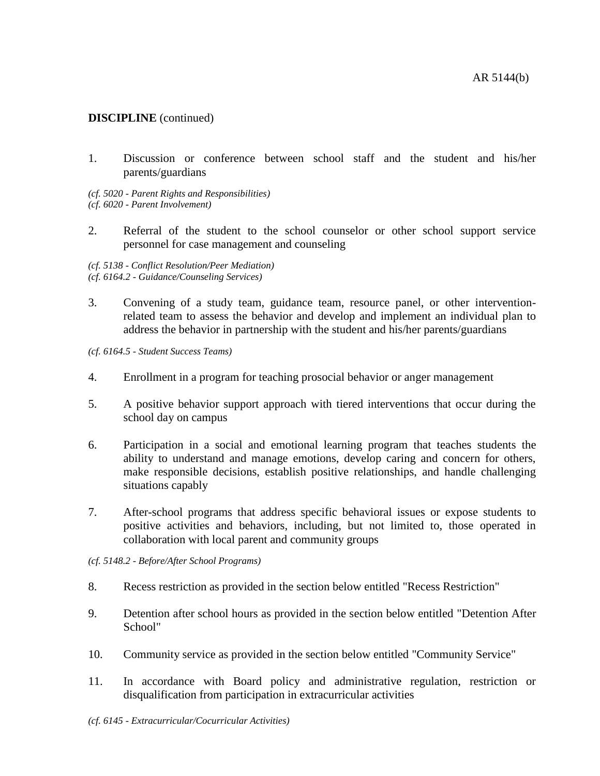1. Discussion or conference between school staff and the student and his/her parents/guardians

*(cf. 5020 - Parent Rights and Responsibilities) (cf. 6020 - Parent Involvement)*

2. Referral of the student to the school counselor or other school support service personnel for case management and counseling

*(cf. 5138 - Conflict Resolution/Peer Mediation) (cf. 6164.2 - Guidance/Counseling Services)*

3. Convening of a study team, guidance team, resource panel, or other interventionrelated team to assess the behavior and develop and implement an individual plan to address the behavior in partnership with the student and his/her parents/guardians

*(cf. 6164.5 - Student Success Teams)*

- 4. Enrollment in a program for teaching prosocial behavior or anger management
- 5. A positive behavior support approach with tiered interventions that occur during the school day on campus
- 6. Participation in a social and emotional learning program that teaches students the ability to understand and manage emotions, develop caring and concern for others, make responsible decisions, establish positive relationships, and handle challenging situations capably
- 7. After-school programs that address specific behavioral issues or expose students to positive activities and behaviors, including, but not limited to, those operated in collaboration with local parent and community groups

*(cf. 5148.2 - Before/After School Programs)*

- 8. Recess restriction as provided in the section below entitled "Recess Restriction"
- 9. Detention after school hours as provided in the section below entitled "Detention After School"
- 10. Community service as provided in the section below entitled "Community Service"
- 11. In accordance with Board policy and administrative regulation, restriction or disqualification from participation in extracurricular activities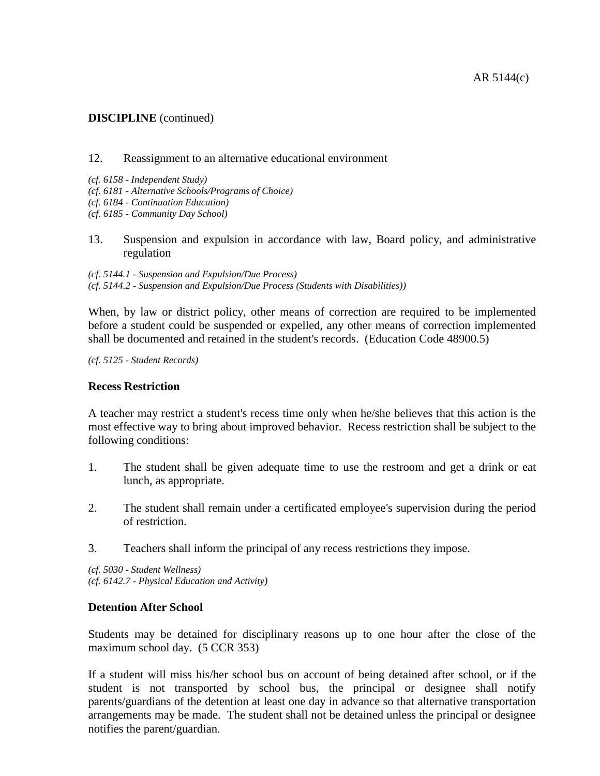#### 12. Reassignment to an alternative educational environment

- *(cf. 6158 - Independent Study)*
- *(cf. 6181 - Alternative Schools/Programs of Choice)*
- *(cf. 6184 - Continuation Education)*
- *(cf. 6185 - Community Day School)*
- 13. Suspension and expulsion in accordance with law, Board policy, and administrative regulation

*(cf. 5144.1 - Suspension and Expulsion/Due Process) (cf. 5144.2 - Suspension and Expulsion/Due Process (Students with Disabilities))*

When, by law or district policy, other means of correction are required to be implemented before a student could be suspended or expelled, any other means of correction implemented shall be documented and retained in the student's records. (Education Code 48900.5)

*(cf. 5125 - Student Records)*

#### **Recess Restriction**

A teacher may restrict a student's recess time only when he/she believes that this action is the most effective way to bring about improved behavior. Recess restriction shall be subject to the following conditions:

- 1. The student shall be given adequate time to use the restroom and get a drink or eat lunch, as appropriate.
- 2. The student shall remain under a certificated employee's supervision during the period of restriction.
- 3. Teachers shall inform the principal of any recess restrictions they impose.

*(cf. 5030 - Student Wellness) (cf. 6142.7 - Physical Education and Activity)*

### **Detention After School**

Students may be detained for disciplinary reasons up to one hour after the close of the maximum school day. (5 CCR 353)

If a student will miss his/her school bus on account of being detained after school, or if the student is not transported by school bus, the principal or designee shall notify parents/guardians of the detention at least one day in advance so that alternative transportation arrangements may be made. The student shall not be detained unless the principal or designee notifies the parent/guardian.